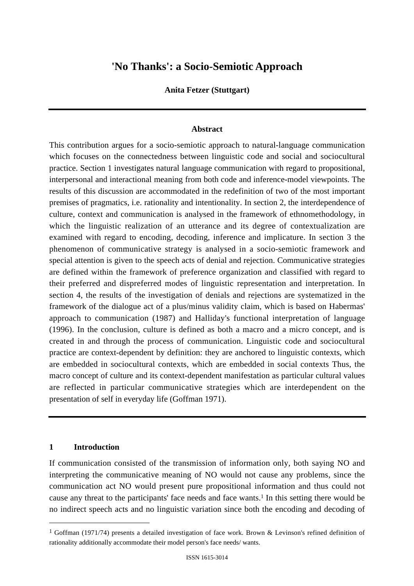# **'No Thanks': a Socio-Semiotic Approach**

#### **Anita Fetzer (Stuttgart)**

#### **Abstract**

This contribution argues for a socio-semiotic approach to natural-language communication which focuses on the connectedness between linguistic code and social and sociocultural practice. Section 1 investigates natural language communication with regard to propositional, interpersonal and interactional meaning from both code and inference-model viewpoints. The results of this discussion are accommodated in the redefinition of two of the most important premises of pragmatics, i.e. rationality and intentionality. In section 2, the interdependence of culture, context and communication is analysed in the framework of ethnomethodology, in which the linguistic realization of an utterance and its degree of contextualization are examined with regard to encoding, decoding, inference and implicature. In section 3 the phenomenon of communicative strategy is analysed in a socio-semiotic framework and special attention is given to the speech acts of denial and rejection. Communicative strategies are defined within the framework of preference organization and classified with regard to their preferred and dispreferred modes of linguistic representation and interpretation. In section 4, the results of the investigation of denials and rejections are systematized in the framework of the dialogue act of a plus/minus validity claim, which is based on Habermas' approach to communication (1987) and Halliday's functional interpretation of language (1996). In the conclusion, culture is defined as both a macro and a micro concept, and is created in and through the process of communication. Linguistic code and sociocultural practice are context-dependent by definition: they are anchored to linguistic contexts, which are embedded in sociocultural contexts, which are embedded in social contexts Thus, the macro concept of culture and its context-dependent manifestation as particular cultural values are reflected in particular communicative strategies which are interdependent on the presentation of self in everyday life (Goffman 1971).

#### **1 Introduction**

If communication consisted of the transmission of information only, both saying NO and interpreting the communicative meaning of NO would not cause any problems, since the communication act NO would present pure propositional information and thus could not cause any threat to the participants' face needs and face wants.1 In this setting there would be no indirect speech acts and no linguistic variation since both the encoding and decoding of

<sup>&</sup>lt;sup>1</sup> Goffman (1971/74) presents a detailed investigation of face work. Brown & Levinson's refined definition of rationality additionally accommodate their model person's face needs/ wants.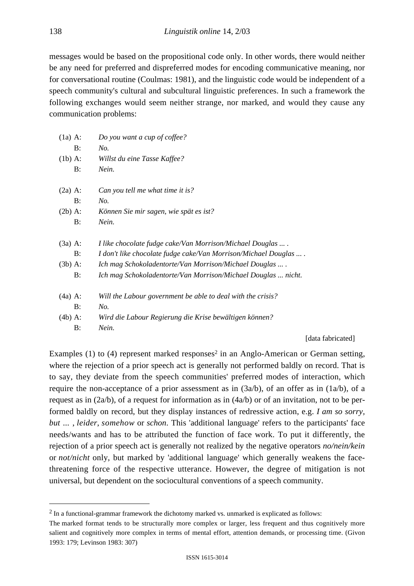messages would be based on the propositional code only. In other words, there would neither be any need for preferred and dispreferred modes for encoding communicative meaning, nor for conversational routine (Coulmas: 1981), and the linguistic code would be independent of a speech community's cultural and subcultural linguistic preferences. In such a framework the following exchanges would seem neither strange, nor marked, and would they cause any communication problems:

| $(1a)$ A: | Do you want a cup of coffee?                                   |
|-----------|----------------------------------------------------------------|
| B:        | No.                                                            |
| $(lb)$ A: | Willst du eine Tasse Kaffee?                                   |
| B:        | Nein.                                                          |
| $(2a)$ A: | Can you tell me what time it is?                               |
| B:        | No.                                                            |
| $(2b)$ A: | Können Sie mir sagen, wie spät es ist?                         |
| B:        | Nein.                                                          |
| $(3a)$ A: | I like chocolate fudge cake/Van Morrison/Michael Douglas       |
| B:        | I don't like chocolate fudge cake/Van Morrison/Michael Douglas |
| $(3b)$ A: | Ich mag Schokoladentorte/Van Morrison/Michael Douglas  .       |
| B:        | Ich mag Schokoladentorte/Van Morrison/Michael Douglas  nicht.  |
| $(4a)$ A: | Will the Labour government be able to deal with the crisis?    |
| B:        | No.                                                            |
| $(4b)$ A: | Wird die Labour Regierung die Krise bewältigen können?         |
| B:        | Nein.                                                          |

[data fabricated]

Examples  $(1)$  to  $(4)$  represent marked responses<sup>2</sup> in an Anglo-American or German setting, where the rejection of a prior speech act is generally not performed baldly on record. That is to say, they deviate from the speech communities' preferred modes of interaction, which require the non-acceptance of a prior assessment as in  $(3a/b)$ , of an offer as in  $(1a/b)$ , of a request as in (2a/b), of a request for information as in (4a/b) or of an invitation, not to be performed baldly on record, but they display instances of redressive action, e.g. *I am so sorry, but ...* , *leider*, *somehow* or *schon*. This 'additional language' refers to the participants' face needs/wants and has to be attributed the function of face work. To put it differently, the rejection of a prior speech act is generally not realized by the negative operators *no/nein/kein* or *not/nicht* only, but marked by 'additional language' which generally weakens the facethreatening force of the respective utterance. However, the degree of mitigation is not universal, but dependent on the sociocultural conventions of a speech community.

 <sup>2</sup> In a functional-grammar framework the dichotomy marked vs. unmarked is explicated as follows:

The marked format tends to be structurally more complex or larger, less frequent and thus cognitively more salient and cognitively more complex in terms of mental effort, attention demands, or processing time. (Givon 1993: 179; Levinson 1983: 307)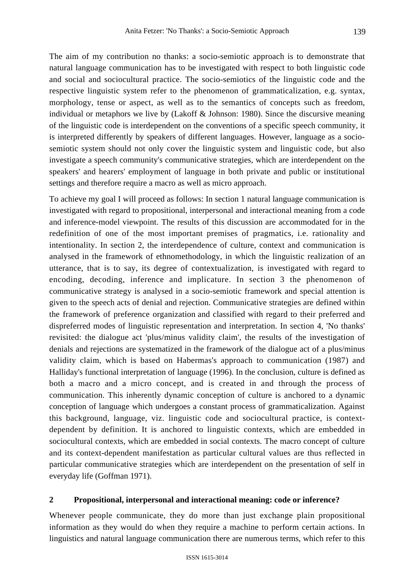The aim of my contribution no thanks: a socio-semiotic approach is to demonstrate that natural language communication has to be investigated with respect to both linguistic code and social and sociocultural practice. The socio-semiotics of the linguistic code and the respective linguistic system refer to the phenomenon of grammaticalization, e.g. syntax, morphology, tense or aspect, as well as to the semantics of concepts such as freedom, individual or metaphors we live by (Lakoff & Johnson: 1980). Since the discursive meaning of the linguistic code is interdependent on the conventions of a specific speech community, it is interpreted differently by speakers of different languages. However, language as a sociosemiotic system should not only cover the linguistic system and linguistic code, but also investigate a speech community's communicative strategies, which are interdependent on the speakers' and hearers' employment of language in both private and public or institutional settings and therefore require a macro as well as micro approach.

To achieve my goal I will proceed as follows: In section 1 natural language communication is investigated with regard to propositional, interpersonal and interactional meaning from a code and inference-model viewpoint. The results of this discussion are accommodated for in the redefinition of one of the most important premises of pragmatics, i.e. rationality and intentionality. In section 2, the interdependence of culture, context and communication is analysed in the framework of ethnomethodology, in which the linguistic realization of an utterance, that is to say, its degree of contextualization, is investigated with regard to encoding, decoding, inference and implicature. In section 3 the phenomenon of communicative strategy is analysed in a socio-semiotic framework and special attention is given to the speech acts of denial and rejection. Communicative strategies are defined within the framework of preference organization and classified with regard to their preferred and dispreferred modes of linguistic representation and interpretation. In section 4, 'No thanks' revisited: the dialogue act 'plus/minus validity claim', the results of the investigation of denials and rejections are systematized in the framework of the dialogue act of a plus/minus validity claim, which is based on Habermas's approach to communication (1987) and Halliday's functional interpretation of language (1996). In the conclusion, culture is defined as both a macro and a micro concept, and is created in and through the process of communication. This inherently dynamic conception of culture is anchored to a dynamic conception of language which undergoes a constant process of grammaticalization. Against this background, language, viz. linguistic code and sociocultural practice, is contextdependent by definition. It is anchored to linguistic contexts, which are embedded in sociocultural contexts, which are embedded in social contexts. The macro concept of culture and its context-dependent manifestation as particular cultural values are thus reflected in particular communicative strategies which are interdependent on the presentation of self in everyday life (Goffman 1971).

#### **2 Propositional, interpersonal and interactional meaning: code or inference?**

Whenever people communicate, they do more than just exchange plain propositional information as they would do when they require a machine to perform certain actions. In linguistics and natural language communication there are numerous terms, which refer to this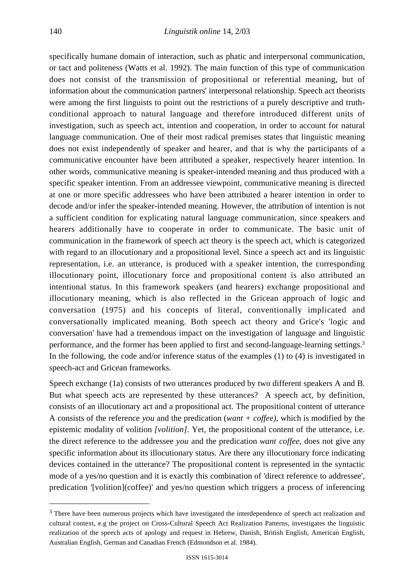specifically humane domain of interaction, such as phatic and interpersonal communication, or tact and politeness (Watts et al. 1992). The main function of this type of communication does not consist of the transmission of propositional or referential meaning, but of information about the communication partners' interpersonal relationship. Speech act theorists were among the first linguists to point out the restrictions of a purely descriptive and truthconditional approach to natural language and therefore introduced different units of investigation, such as speech act, intention and cooperation, in order to account for natural language communication. One of their most radical premises states that linguistic meaning does not exist independently of speaker and hearer, and that is why the participants of a communicative encounter have been attributed a speaker, respectively hearer intention. In other words, communicative meaning is speaker-intended meaning and thus produced with a specific speaker intention. From an addressee viewpoint, communicative meaning is directed at one or more specific addressees who have been attributed a hearer intention in order to decode and/or infer the speaker-intended meaning. However, the attribution of intention is not a sufficient condition for explicating natural language communication, since speakers and hearers additionally have to cooperate in order to communicate. The basic unit of communication in the framework of speech act theory is the speech act, which is categorized with regard to an illocutionary and a propositional level. Since a speech act and its linguistic representation, i.e. an utterance, is produced with a speaker intention, the corresponding illocutionary point, illocutionary force and propositional content is also attributed an intentional status. In this framework speakers (and hearers) exchange propositional and illocutionary meaning, which is also reflected in the Gricean approach of logic and conversation (1975) and his concepts of literal, conventionally implicated and conversationally implicated meaning. Both speech act theory and Grice's 'logic and conversation' have had a tremendous impact on the investigation of language and linguistic performance, and the former has been applied to first and second-language-learning settings.3 In the following, the code and/or inference status of the examples (1) to (4) is investigated in speech-act and Gricean frameworks.

Speech exchange (1a) consists of two utterances produced by two different speakers A and B. But what speech acts are represented by these utterances? A speech act, by definition, consists of an illocutionary act and a propositional act. The propositional content of utterance A consists of the reference *you* and the predication (*want + coffee)*, which is modified by the epistemic modality of volition *[volition]*. Yet, the propositional content of the utterance, i.e. the direct reference to the addressee *you* and the predication *want coffee*, does not give any specific information about its illocutionary status. Are there any illocutionary force indicating devices contained in the utterance? The propositional content is represented in the syntactic mode of a yes/no question and it is exactly this combination of 'direct reference to addressee', predication '[volition](coffee)' and yes/no question which triggers a process of inferencing

<sup>&</sup>lt;sup>3</sup> There have been numerous projects which have investigated the interdependence of speech act realization and cultural context, e.g the project on Cross-Cultural Speech Act Realization Patterns, investigates the linguistic realization of the speech acts of apology and request in Hebrew, Danish, British English, American English, Australian English, German and Canadian French (Edmondson et al. 1984).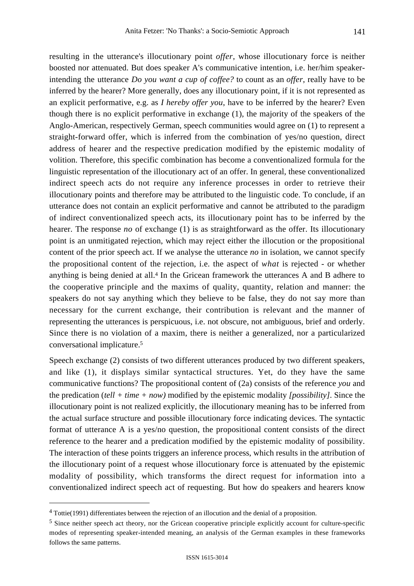resulting in the utterance's illocutionary point *offer*, whose illocutionary force is neither boosted nor attenuated. But does speaker A's communicative intention, i.e. her/him speakerintending the utterance *Do you want a cup of coffee?* to count as an *offer*, really have to be inferred by the hearer? More generally, does any illocutionary point, if it is not represented as an explicit performative, e.g. as *I hereby offer you*, have to be inferred by the hearer? Even though there is no explicit performative in exchange (1), the majority of the speakers of the Anglo-American, respectively German, speech communities would agree on (1) to represent a straight-forward offer, which is inferred from the combination of yes/no question, direct address of hearer and the respective predication modified by the epistemic modality of volition. Therefore, this specific combination has become a conventionalized formula for the linguistic representation of the illocutionary act of an offer. In general, these conventionalized indirect speech acts do not require any inference processes in order to retrieve their illocutionary points and therefore may be attributed to the linguistic code. To conclude, if an utterance does not contain an explicit performative and cannot be attributed to the paradigm of indirect conventionalized speech acts, its illocutionary point has to be inferred by the hearer. The response *no* of exchange (1) is as straightforward as the offer. Its illocutionary point is an unmitigated rejection, which may reject either the illocution or the propositional content of the prior speech act. If we analyse the utterance *no* in isolation, we cannot specify the propositional content of the rejection, i.e. the aspect of *what* is rejected - or whether anything is being denied at all.4 In the Gricean framework the utterances A and B adhere to the cooperative principle and the maxims of quality, quantity, relation and manner: the speakers do not say anything which they believe to be false, they do not say more than necessary for the current exchange, their contribution is relevant and the manner of representing the utterances is perspicuous, i.e. not obscure, not ambiguous, brief and orderly. Since there is no violation of a maxim, there is neither a generalized, nor a particularized conversational implicature.5

Speech exchange (2) consists of two different utterances produced by two different speakers, and like (1), it displays similar syntactical structures. Yet, do they have the same communicative functions? The propositional content of (2a) consists of the reference *you* and the predication (*tell + time + now)* modified by the epistemic modality *[possibility]*. Since the illocutionary point is not realized explicitly, the illocutionary meaning has to be inferred from the actual surface structure and possible illocutionary force indicating devices. The syntactic format of utterance A is a yes/no question, the propositional content consists of the direct reference to the hearer and a predication modified by the epistemic modality of possibility. The interaction of these points triggers an inference process, which results in the attribution of the illocutionary point of a request whose illocutionary force is attenuated by the epistemic modality of possibility, which transforms the direct request for information into a conventionalized indirect speech act of requesting. But how do speakers and hearers know

 <sup>4</sup> Tottie(1991) differentiates between the rejection of an illocution and the denial of a proposition.

<sup>5</sup> Since neither speech act theory, nor the Gricean cooperative principle explicitly account for culture-specific modes of representing speaker-intended meaning, an analysis of the German examples in these frameworks follows the same patterns.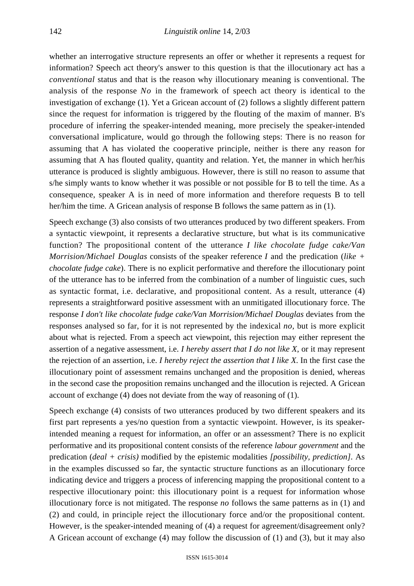whether an interrogative structure represents an offer or whether it represents a request for information? Speech act theory's answer to this question is that the illocutionary act has a *conventional* status and that is the reason why illocutionary meaning is conventional. The analysis of the response *No* in the framework of speech act theory is identical to the investigation of exchange (1). Yet a Gricean account of (2) follows a slightly different pattern since the request for information is triggered by the flouting of the maxim of manner. B's procedure of inferring the speaker-intended meaning, more precisely the speaker-intended conversational implicature, would go through the following steps: There is no reason for assuming that A has violated the cooperative principle, neither is there any reason for assuming that A has flouted quality, quantity and relation. Yet, the manner in which her/his utterance is produced is slightly ambiguous. However, there is still no reason to assume that s/he simply wants to know whether it was possible or not possible for B to tell the time. As a consequence, speaker A is in need of more information and therefore requests B to tell her/him the time. A Gricean analysis of response B follows the same pattern as in (1).

Speech exchange (3) also consists of two utterances produced by two different speakers. From a syntactic viewpoint, it represents a declarative structure, but what is its communicative function? The propositional content of the utterance *I like chocolate fudge cake/Van Morrision/Michael Douglas* consists of the speaker reference *I* and the predication (*like + chocolate fudge cake*). There is no explicit performative and therefore the illocutionary point of the utterance has to be inferred from the combination of a number of linguistic cues, such as syntactic format, i.e. declarative, and propositional content. As a result, utterance (4) represents a straightforward positive assessment with an unmitigated illocutionary force. The response *I don't like chocolate fudge cake/Van Morrision/Michael Douglas* deviates from the responses analysed so far, for it is not represented by the indexical *no,* but is more explicit about what is rejected. From a speech act viewpoint, this rejection may either represent the assertion of a negative assessment, i.e. *I hereby assert that I do not like X*, or it may represent the rejection of an assertion, i.e. *I hereby reject the assertion that I like X*. In the first case the illocutionary point of assessment remains unchanged and the proposition is denied, whereas in the second case the proposition remains unchanged and the illocution is rejected. A Gricean account of exchange (4) does not deviate from the way of reasoning of (1).

Speech exchange (4) consists of two utterances produced by two different speakers and its first part represents a yes/no question from a syntactic viewpoint. However, is its speakerintended meaning a request for information, an offer or an assessment? There is no explicit performative and its propositional content consists of the reference *labour government* and the predication (*deal + crisis)* modified by the epistemic modalities *[possibility, prediction]*. As in the examples discussed so far, the syntactic structure functions as an illocutionary force indicating device and triggers a process of inferencing mapping the propositional content to a respective illocutionary point: this illocutionary point is a request for information whose illocutionary force is not mitigated. The response *no* follows the same patterns as in (1) and (2) and could, in principle reject the illocutionary force and/or the propositional content. However, is the speaker-intended meaning of (4) a request for agreement/disagreement only? A Gricean account of exchange (4) may follow the discussion of (1) and (3), but it may also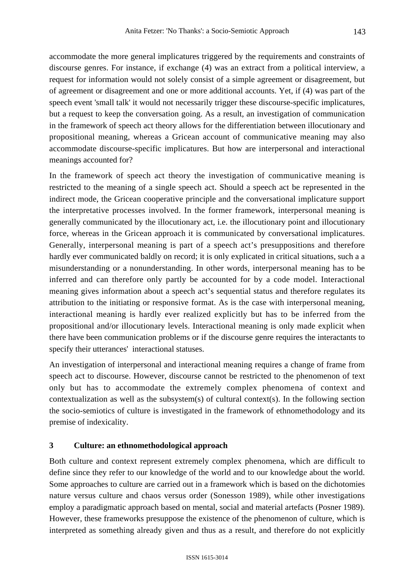accommodate the more general implicatures triggered by the requirements and constraints of discourse genres. For instance, if exchange (4) was an extract from a political interview, a request for information would not solely consist of a simple agreement or disagreement, but of agreement or disagreement and one or more additional accounts. Yet, if (4) was part of the speech event 'small talk' it would not necessarily trigger these discourse-specific implicatures, but a request to keep the conversation going. As a result, an investigation of communication in the framework of speech act theory allows for the differentiation between illocutionary and propositional meaning, whereas a Gricean account of communicative meaning may also accommodate discourse-specific implicatures. But how are interpersonal and interactional meanings accounted for?

In the framework of speech act theory the investigation of communicative meaning is restricted to the meaning of a single speech act. Should a speech act be represented in the indirect mode, the Gricean cooperative principle and the conversational implicature support the interpretative processes involved. In the former framework, interpersonal meaning is generally communicated by the illocutionary act, i.e. the illocutionary point and illocutionary force, whereas in the Gricean approach it is communicated by conversational implicatures. Generally, interpersonal meaning is part of a speech act's presuppositions and therefore hardly ever communicated baldly on record; it is only explicated in critical situations, such a a misunderstanding or a nonunderstanding. In other words, interpersonal meaning has to be inferred and can therefore only partly be accounted for by a code model. Interactional meaning gives information about a speech act's sequential status and therefore regulates its attribution to the initiating or responsive format. As is the case with interpersonal meaning, interactional meaning is hardly ever realized explicitly but has to be inferred from the propositional and/or illocutionary levels. Interactional meaning is only made explicit when there have been communication problems or if the discourse genre requires the interactants to specify their utterances' interactional statuses.

An investigation of interpersonal and interactional meaning requires a change of frame from speech act to discourse. However, discourse cannot be restricted to the phenomenon of text only but has to accommodate the extremely complex phenomena of context and contextualization as well as the subsystem(s) of cultural context(s). In the following section the socio-semiotics of culture is investigated in the framework of ethnomethodology and its premise of indexicality.

# **3 Culture: an ethnomethodological approach**

Both culture and context represent extremely complex phenomena, which are difficult to define since they refer to our knowledge of the world and to our knowledge about the world. Some approaches to culture are carried out in a framework which is based on the dichotomies nature versus culture and chaos versus order (Sonesson 1989), while other investigations employ a paradigmatic approach based on mental, social and material artefacts (Posner 1989). However, these frameworks presuppose the existence of the phenomenon of culture, which is interpreted as something already given and thus as a result, and therefore do not explicitly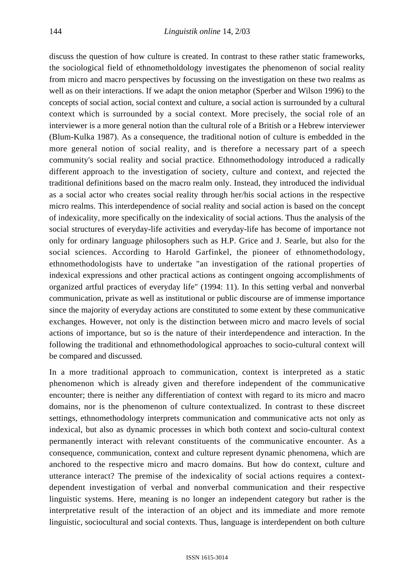discuss the question of how culture is created. In contrast to these rather static frameworks, the sociological field of ethnometholdology investigates the phenomenon of social reality from micro and macro perspectives by focussing on the investigation on these two realms as well as on their interactions. If we adapt the onion metaphor (Sperber and Wilson 1996) to the concepts of social action, social context and culture, a social action is surrounded by a cultural context which is surrounded by a social context. More precisely, the social role of an interviewer is a more general notion than the cultural role of a British or a Hebrew interviewer (Blum-Kulka 1987). As a consequence, the traditional notion of culture is embedded in the more general notion of social reality, and is therefore a necessary part of a speech community's social reality and social practice. Ethnomethodology introduced a radically different approach to the investigation of society, culture and context, and rejected the traditional definitions based on the macro realm only. Instead, they introduced the individual as a social actor who creates social reality through her/his social actions in the respective micro realms. This interdependence of social reality and social action is based on the concept of indexicality, more specifically on the indexicality of social actions. Thus the analysis of the social structures of everyday-life activities and everyday-life has become of importance not only for ordinary language philosophers such as H.P. Grice and J. Searle, but also for the social sciences. According to Harold Garfinkel, the pioneer of ethnomethodology, ethnomethodologists have to undertake "an investigation of the rational properties of indexical expressions and other practical actions as contingent ongoing accomplishments of organized artful practices of everyday life" (1994: 11). In this setting verbal and nonverbal communication, private as well as institutional or public discourse are of immense importance since the majority of everyday actions are constituted to some extent by these communicative exchanges. However, not only is the distinction between micro and macro levels of social actions of importance, but so is the nature of their interdependence and interaction. In the following the traditional and ethnomethodological approaches to socio-cultural context will be compared and discussed.

In a more traditional approach to communication, context is interpreted as a static phenomenon which is already given and therefore independent of the communicative encounter; there is neither any differentiation of context with regard to its micro and macro domains, nor is the phenomenon of culture contextualized. In contrast to these discreet settings, ethnomethodology interprets communication and communicative acts not only as indexical, but also as dynamic processes in which both context and socio-cultural context permanently interact with relevant constituents of the communicative encounter. As a consequence, communication, context and culture represent dynamic phenomena, which are anchored to the respective micro and macro domains. But how do context, culture and utterance interact? The premise of the indexicality of social actions requires a contextdependent investigation of verbal and nonverbal communication and their respective linguistic systems. Here, meaning is no longer an independent category but rather is the interpretative result of the interaction of an object and its immediate and more remote linguistic, sociocultural and social contexts. Thus, language is interdependent on both culture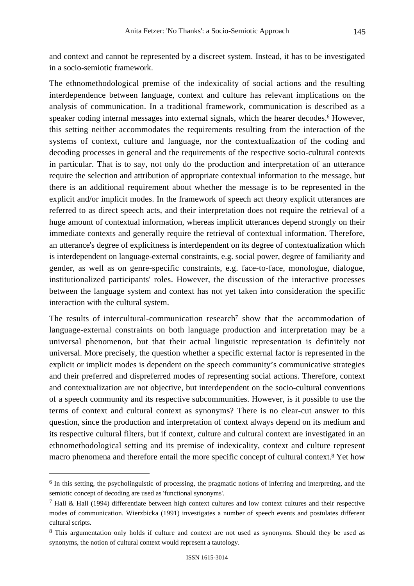and context and cannot be represented by a discreet system. Instead, it has to be investigated in a socio-semiotic framework.

The ethnomethodological premise of the indexicality of social actions and the resulting interdependence between language, context and culture has relevant implications on the analysis of communication. In a traditional framework, communication is described as a speaker coding internal messages into external signals, which the hearer decodes.<sup>6</sup> However, this setting neither accommodates the requirements resulting from the interaction of the systems of context, culture and language, nor the contextualization of the coding and decoding processes in general and the requirements of the respective socio-cultural contexts in particular. That is to say, not only do the production and interpretation of an utterance require the selection and attribution of appropriate contextual information to the message, but there is an additional requirement about whether the message is to be represented in the explicit and/or implicit modes. In the framework of speech act theory explicit utterances are referred to as direct speech acts, and their interpretation does not require the retrieval of a huge amount of contextual information, whereas implicit utterances depend strongly on their immediate contexts and generally require the retrieval of contextual information. Therefore, an utterance's degree of explicitness is interdependent on its degree of contextualization which is interdependent on language-external constraints, e.g. social power, degree of familiarity and gender, as well as on genre-specific constraints, e.g. face-to-face, monologue, dialogue, institutionalized participants' roles. However, the discussion of the interactive processes between the language system and context has not yet taken into consideration the specific interaction with the cultural system.

The results of intercultural-communication research<sup>7</sup> show that the accommodation of language-external constraints on both language production and interpretation may be a universal phenomenon, but that their actual linguistic representation is definitely not universal. More precisely, the question whether a specific external factor is represented in the explicit or implicit modes is dependent on the speech community's communicative strategies and their preferred and dispreferred modes of representing social actions. Therefore, context and contextualization are not objective, but interdependent on the socio-cultural conventions of a speech community and its respective subcommunities. However, is it possible to use the terms of context and cultural context as synonyms? There is no clear-cut answer to this question, since the production and interpretation of context always depend on its medium and its respective cultural filters, but if context, culture and cultural context are investigated in an ethnomethodological setting and its premise of indexicality, context and culture represent macro phenomena and therefore entail the more specific concept of cultural context.8 Yet how

 <sup>6</sup> In this setting, the psycholinguistic of processing, the pragmatic notions of inferring and interpreting*,* and the semiotic concept of decoding are used as 'functional synonyms'.

 $<sup>7</sup>$  Hall & Hall (1994) differentiate between high context cultures and low context cultures and their respective</sup> modes of communication. Wierzbicka (1991) investigates a number of speech events and postulates different cultural scripts.

<sup>8</sup> This argumentation only holds if culture and context are not used as synonyms. Should they be used as synonyms, the notion of cultural context would represent a tautology.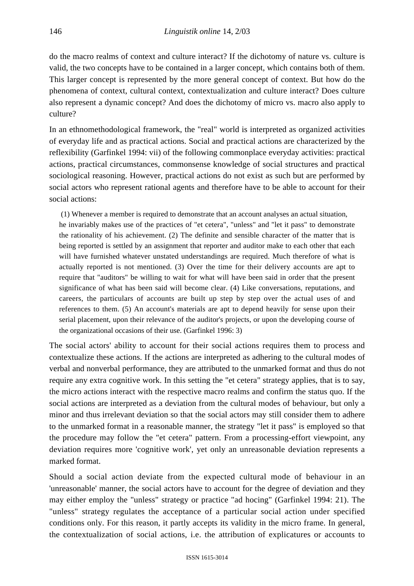do the macro realms of context and culture interact? If the dichotomy of nature vs. culture is valid, the two concepts have to be contained in a larger concept, which contains both of them. This larger concept is represented by the more general concept of context. But how do the phenomena of context, cultural context, contextualization and culture interact? Does culture also represent a dynamic concept? And does the dichotomy of micro vs. macro also apply to culture?

In an ethnomethodological framework, the "real" world is interpreted as organized activities of everyday life and as practical actions. Social and practical actions are characterized by the reflexibility (Garfinkel 1994: vii) of the following commonplace everyday activities: practical actions, practical circumstances, commonsense knowledge of social structures and practical sociological reasoning. However, practical actions do not exist as such but are performed by social actors who represent rational agents and therefore have to be able to account for their social actions:

 (1) Whenever a member is required to demonstrate that an account analyses an actual situation, he invariably makes use of the practices of "et cetera", "unless" and "let it pass" to demonstrate the rationality of his achievement. (2) The definite and sensible character of the matter that is being reported is settled by an assignment that reporter and auditor make to each other that each will have furnished whatever unstated understandings are required. Much therefore of what is actually reported is not mentioned. (3) Over the time for their delivery accounts are apt to require that "auditors" be willing to wait for what will have been said in order that the present significance of what has been said will become clear. (4) Like conversations, reputations, and careers, the particulars of accounts are built up step by step over the actual uses of and references to them. (5) An account's materials are apt to depend heavily for sense upon their serial placement, upon their relevance of the auditor's projects, or upon the developing course of the organizational occasions of their use. (Garfinkel 1996: 3)

The social actors' ability to account for their social actions requires them to process and contextualize these actions. If the actions are interpreted as adhering to the cultural modes of verbal and nonverbal performance, they are attributed to the unmarked format and thus do not require any extra cognitive work. In this setting the "et cetera" strategy applies, that is to say, the micro actions interact with the respective macro realms and confirm the status quo. If the social actions are interpreted as a deviation from the cultural modes of behaviour, but only a minor and thus irrelevant deviation so that the social actors may still consider them to adhere to the unmarked format in a reasonable manner, the strategy "let it pass" is employed so that the procedure may follow the "et cetera" pattern. From a processing-effort viewpoint, any deviation requires more 'cognitive work', yet only an unreasonable deviation represents a marked format.

Should a social action deviate from the expected cultural mode of behaviour in an 'unreasonable' manner, the social actors have to account for the degree of deviation and they may either employ the "unless" strategy or practice "ad hocing" (Garfinkel 1994: 21). The "unless" strategy regulates the acceptance of a particular social action under specified conditions only. For this reason, it partly accepts its validity in the micro frame. In general, the contextualization of social actions, i.e. the attribution of explicatures or accounts to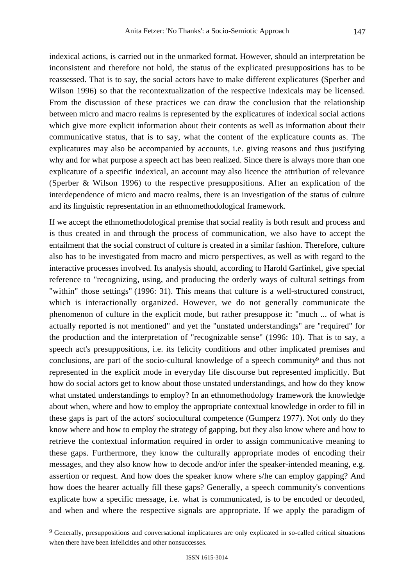indexical actions, is carried out in the unmarked format. However, should an interpretation be inconsistent and therefore not hold, the status of the explicated presuppositions has to be reassessed. That is to say, the social actors have to make different explicatures (Sperber and Wilson 1996) so that the recontextualization of the respective indexicals may be licensed. From the discussion of these practices we can draw the conclusion that the relationship between micro and macro realms is represented by the explicatures of indexical social actions which give more explicit information about their contents as well as information about their communicative status, that is to say, what the content of the explicature counts as. The explicatures may also be accompanied by accounts, i.e. giving reasons and thus justifying why and for what purpose a speech act has been realized. Since there is always more than one explicature of a specific indexical, an account may also licence the attribution of relevance (Sperber & Wilson 1996) to the respective presuppositions. After an explication of the interdependence of micro and macro realms, there is an investigation of the status of culture and its linguistic representation in an ethnomethodological framework.

If we accept the ethnomethodological premise that social reality is both result and process and is thus created in and through the process of communication, we also have to accept the entailment that the social construct of culture is created in a similar fashion. Therefore, culture also has to be investigated from macro and micro perspectives, as well as with regard to the interactive processes involved. Its analysis should, according to Harold Garfinkel, give special reference to "recognizing, using, and producing the orderly ways of cultural settings from "within" those settings" (1996: 31). This means that culture is a well-structured construct, which is interactionally organized. However, we do not generally communicate the phenomenon of culture in the explicit mode, but rather presuppose it: "much ... of what is actually reported is not mentioned" and yet the "unstated understandings" are "required" for the production and the interpretation of "recognizable sense" (1996: 10). That is to say, a speech act's presuppositions, i.e. its felicity conditions and other implicated premises and conclusions, are part of the socio-cultural knowledge of a speech community<sup>9</sup> and thus not represented in the explicit mode in everyday life discourse but represented implicitly. But how do social actors get to know about those unstated understandings, and how do they know what unstated understandings to employ? In an ethnomethodology framework the knowledge about when, where and how to employ the appropriate contextual knowledge in order to fill in these gaps is part of the actors' sociocultural competence (Gumperz 1977). Not only do they know where and how to employ the strategy of gapping, but they also know where and how to retrieve the contextual information required in order to assign communicative meaning to these gaps. Furthermore, they know the culturally appropriate modes of encoding their messages, and they also know how to decode and/or infer the speaker-intended meaning, e.g. assertion or request. And how does the speaker know where s/he can employ gapping? And how does the hearer actually fill these gaps? Generally, a speech community's conventions explicate how a specific message, i.e. what is communicated, is to be encoded or decoded, and when and where the respective signals are appropriate. If we apply the paradigm of

<sup>&</sup>lt;sup>9</sup> Generally, presuppositions and conversational implicatures are only explicated in so-called critical situations when there have been infelicities and other nonsuccesses.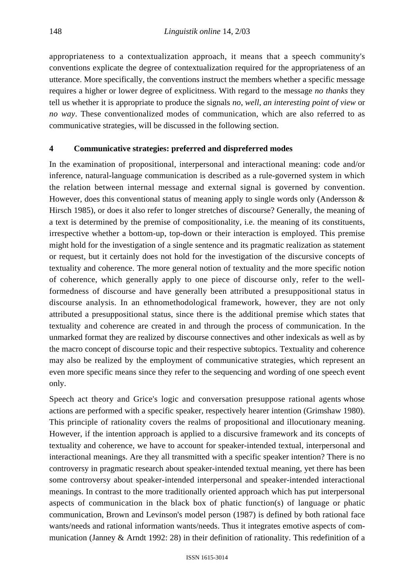appropriateness to a contextualization approach, it means that a speech community's conventions explicate the degree of contextualization required for the appropriateness of an utterance. More specifically, the conventions instruct the members whether a specific message requires a higher or lower degree of explicitness. With regard to the message *no thanks* they tell us whether it is appropriate to produce the signals *no*, *well*, *an interesting point of view* or *no way*. These conventionalized modes of communication, which are also referred to as communicative strategies, will be discussed in the following section.

# **4 Communicative strategies: preferred and dispreferred modes**

In the examination of propositional, interpersonal and interactional meaning: code and/or inference, natural-language communication is described as a rule-governed system in which the relation between internal message and external signal is governed by convention. However, does this conventional status of meaning apply to single words only (Andersson & Hirsch 1985), or does it also refer to longer stretches of discourse? Generally, the meaning of a text is determined by the premise of compositionality, i.e. the meaning of its constituents, irrespective whether a bottom-up, top-down or their interaction is employed. This premise might hold for the investigation of a single sentence and its pragmatic realization as statement or request, but it certainly does not hold for the investigation of the discursive concepts of textuality and coherence. The more general notion of textuality and the more specific notion of coherence, which generally apply to one piece of discourse only, refer to the wellformedness of discourse and have generally been attributed a presuppositional status in discourse analysis. In an ethnomethodological framework, however, they are not only attributed a presuppositional status, since there is the additional premise which states that textuality and coherence are created in and through the process of communication. In the unmarked format they are realized by discourse connectives and other indexicals as well as by the macro concept of discourse topic and their respective subtopics. Textuality and coherence may also be realized by the employment of communicative strategies, which represent an even more specific means since they refer to the sequencing and wording of one speech event only.

Speech act theory and Grice's logic and conversation presuppose rational agents whose actions are performed with a specific speaker, respectively hearer intention (Grimshaw 1980). This principle of rationality covers the realms of propositional and illocutionary meaning. However, if the intention approach is applied to a discursive framework and its concepts of textuality and coherence, we have to account for speaker-intended textual, interpersonal and interactional meanings. Are they all transmitted with a specific speaker intention? There is no controversy in pragmatic research about speaker-intended textual meaning, yet there has been some controversy about speaker-intended interpersonal and speaker-intended interactional meanings. In contrast to the more traditionally oriented approach which has put interpersonal aspects of communication in the black box of phatic function(s) of language or phatic communication, Brown and Levinson's model person (1987) is defined by both rational face wants/needs and rational information wants/needs. Thus it integrates emotive aspects of communication (Janney & Arndt 1992: 28) in their definition of rationality. This redefinition of a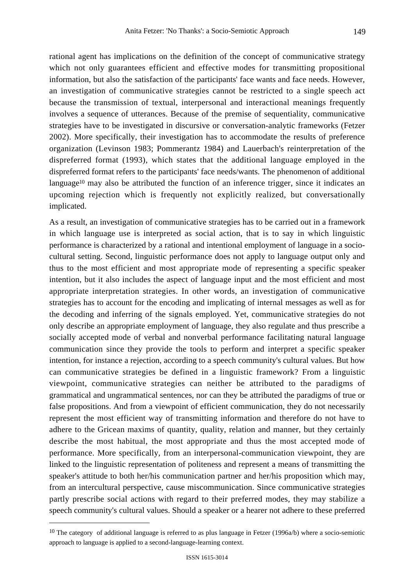rational agent has implications on the definition of the concept of communicative strategy which not only guarantees efficient and effective modes for transmitting propositional information, but also the satisfaction of the participants' face wants and face needs. However, an investigation of communicative strategies cannot be restricted to a single speech act because the transmission of textual, interpersonal and interactional meanings frequently involves a sequence of utterances. Because of the premise of sequentiality, communicative strategies have to be investigated in discursive or conversation-analytic frameworks (Fetzer 2002). More specifically, their investigation has to accommodate the results of preference organization (Levinson 1983; Pommerantz 1984) and Lauerbach's reinterpretation of the dispreferred format (1993), which states that the additional language employed in the dispreferred format refers to the participants' face needs/wants. The phenomenon of additional language<sup>10</sup> may also be attributed the function of an inference trigger, since it indicates an upcoming rejection which is frequently not explicitly realized, but conversationally implicated.

As a result, an investigation of communicative strategies has to be carried out in a framework in which language use is interpreted as social action, that is to say in which linguistic performance is characterized by a rational and intentional employment of language in a sociocultural setting. Second, linguistic performance does not apply to language output only and thus to the most efficient and most appropriate mode of representing a specific speaker intention, but it also includes the aspect of language input and the most efficient and most appropriate interpretation strategies. In other words, an investigation of communicative strategies has to account for the encoding and implicating of internal messages as well as for the decoding and inferring of the signals employed. Yet, communicative strategies do not only describe an appropriate employment of language, they also regulate and thus prescribe a socially accepted mode of verbal and nonverbal performance facilitating natural language communication since they provide the tools to perform and interpret a specific speaker intention, for instance a rejection, according to a speech community's cultural values. But how can communicative strategies be defined in a linguistic framework? From a linguistic viewpoint, communicative strategies can neither be attributed to the paradigms of grammatical and ungrammatical sentences, nor can they be attributed the paradigms of true or false propositions. And from a viewpoint of efficient communication, they do not necessarily represent the most efficient way of transmitting information and therefore do not have to adhere to the Gricean maxims of quantity, quality, relation and manner, but they certainly describe the most habitual, the most appropriate and thus the most accepted mode of performance. More specifically, from an interpersonal-communication viewpoint, they are linked to the linguistic representation of politeness and represent a means of transmitting the speaker's attitude to both her/his communication partner and her/his proposition which may, from an intercultural perspective, cause miscommunication. Since communicative strategies partly prescribe social actions with regard to their preferred modes, they may stabilize a speech community's cultural values. Should a speaker or a hearer not adhere to these preferred

<sup>&</sup>lt;sup>10</sup> The category of additional language is referred to as plus language in Fetzer (1996a/b) where a socio-semiotic approach to language is applied to a second-language-learning context.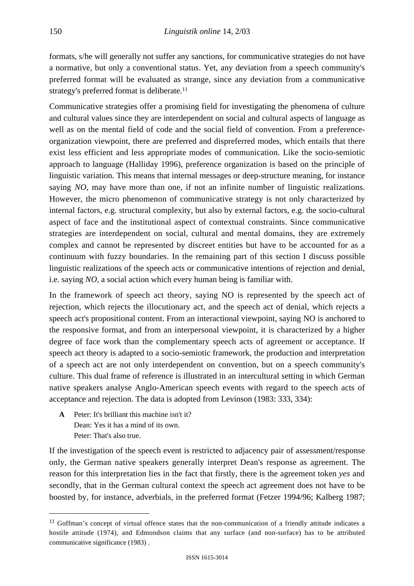formats, s/he will generally not suffer any sanctions, for communicative strategies do not have a normative, but only a conventional status. Yet, any deviation from a speech community's preferred format will be evaluated as strange, since any deviation from a communicative strategy's preferred format is deliberate.<sup>11</sup>

Communicative strategies offer a promising field for investigating the phenomena of culture and cultural values since they are interdependent on social and cultural aspects of language as well as on the mental field of code and the social field of convention. From a preferenceorganization viewpoint, there are preferred and dispreferred modes, which entails that there exist less efficient and less appropriate modes of communication. Like the socio-semiotic approach to language (Halliday 1996), preference organization is based on the principle of linguistic variation*.* This means that internal messages or deep-structure meaning, for instance saying *NO*, may have more than one, if not an infinite number of linguistic realizations. However, the micro phenomenon of communicative strategy is not only characterized by internal factors, e.g. structural complexity, but also by external factors, e.g. the socio-cultural aspect of face and the institutional aspect of contextual constraints. Since communicative strategies are interdependent on social, cultural and mental domains, they are extremely complex and cannot be represented by discreet entities but have to be accounted for as a continuum with fuzzy boundaries. In the remaining part of this section I discuss possible linguistic realizations of the speech acts or communicative intentions of rejection and denial, i.e. saying *NO*, a social action which every human being is familiar with.

In the framework of speech act theory, saying NO is represented by the speech act of rejection, which rejects the illocutionary act, and the speech act of denial, which rejects a speech act's propositional content. From an interactional viewpoint, saying NO is anchored to the responsive format, and from an interpersonal viewpoint, it is characterized by a higher degree of face work than the complementary speech acts of agreement or acceptance. If speech act theory is adapted to a socio-semiotic framework, the production and interpretation of a speech act are not only interdependent on convention, but on a speech community's culture. This dual frame of reference is illustrated in an intercultural setting in which German native speakers analyse Anglo-American speech events with regard to the speech acts of acceptance and rejection. The data is adopted from Levinson (1983: 333, 334):

**A** Peter: It's brilliant this machine isn't it? Dean: Yes it has a mind of its own. Peter: That's also true.

If the investigation of the speech event is restricted to adjacency pair of assessment/response only, the German native speakers generally interpret Dean's response as agreement. The reason for this interpretation lies in the fact that firstly, there is the agreement token *yes* and secondly, that in the German cultural context the speech act agreement does not have to be boosted by, for instance, adverbials, in the preferred format (Fetzer 1994/96; Kalberg 1987;

 <sup>11</sup> Goffman's concept of virtual offence states that the non-communication of a friendly attitude indicates a hostile attitude (1974), and Edmondson claims that any surface (and non-surface) has to be attributed communicative significance (1983) .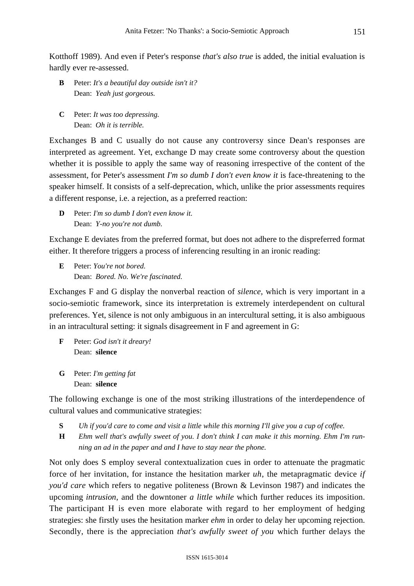Kotthoff 1989). And even if Peter's response *that's also true* is added, the initial evaluation is hardly ever re-assessed.

- **B** Peter: *It's a beautiful day outside isn't it?* Dean: *Yeah just gorgeous.*
- **C** Peter: *It was too depressing.* Dean: *Oh it is terrible.*

Exchanges B and C usually do not cause any controversy since Dean's responses are interpreted as agreement. Yet, exchange D may create some controversy about the question whether it is possible to apply the same way of reasoning irrespective of the content of the assessment, for Peter's assessment *I'm so dumb I don't even know it* is face-threatening to the speaker himself. It consists of a self-deprecation, which, unlike the prior assessments requires a different response, i.e. a rejection, as a preferred reaction:

**D** Peter: *I'm so dumb I don't even know it.* Dean: *Y-no you're not dumb.*

Exchange E deviates from the preferred format, but does not adhere to the dispreferred format either. It therefore triggers a process of inferencing resulting in an ironic reading:

**E** Peter: *You're not bored.* Dean: *Bored. No. We're fascinated.*

Exchanges F and G display the nonverbal reaction of *silence*, which is very important in a socio-semiotic framework, since its interpretation is extremely interdependent on cultural preferences. Yet, silence is not only ambiguous in an intercultural setting, it is also ambiguous in an intracultural setting: it signals disagreement in F and agreement in G:

- **F** Peter: *God isn't it dreary!* Dean: **silence**
- **G** Peter: *I'm getting fat* Dean: **silence**

The following exchange is one of the most striking illustrations of the interdependence of cultural values and communicative strategies:

- **S** *Uh if you'd care to come and visit a little while this morning I'll give you a cup of coffee.*
- **H** *Ehm well that's awfully sweet of you. I don't think I can make it this morning. Ehm I'm running an ad in the paper and and I have to stay near the phone.*

Not only does S employ several contextualization cues in order to attenuate the pragmatic force of her invitation, for instance the hesitation marker *uh*, the metapragmatic device *if you'd care* which refers to negative politeness (Brown & Levinson 1987) and indicates the upcoming *intrusion*, and the downtoner *a little while* which further reduces its imposition. The participant H is even more elaborate with regard to her employment of hedging strategies: she firstly uses the hesitation marker *ehm* in order to delay her upcoming rejection. Secondly, there is the appreciation *that's awfully sweet of you* which further delays the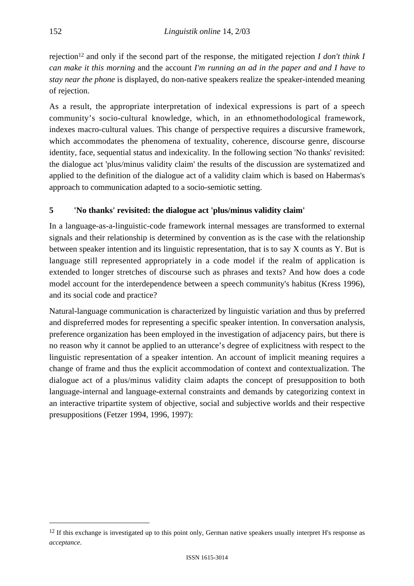rejection12 and only if the second part of the response, the mitigated rejection *I don't think I can make it this morning* and the account *I'm running an ad in the paper and and I have to stay near the phone* is displayed, do non-native speakers realize the speaker-intended meaning of rejection.

As a result, the appropriate interpretation of indexical expressions is part of a speech community's socio-cultural knowledge, which, in an ethnomethodological framework, indexes macro-cultural values. This change of perspective requires a discursive framework, which accommodates the phenomena of textuality, coherence, discourse genre, discourse identity, face, sequential status and indexicality*.* In the following section 'No thanks' revisited: the dialogue act 'plus/minus validity claim' the results of the discussion are systematized and applied to the definition of the dialogue act of a validity claim which is based on Habermas's approach to communication adapted to a socio-semiotic setting.

# **5 'No thanks' revisited: the dialogue act 'plus/minus validity claim'**

In a language-as-a-linguistic-code framework internal messages are transformed to external signals and their relationship is determined by convention as is the case with the relationship between speaker intention and its linguistic representation, that is to say X counts as Y. But is language still represented appropriately in a code model if the realm of application is extended to longer stretches of discourse such as phrases and texts? And how does a code model account for the interdependence between a speech community's habitus (Kress 1996), and its social code and practice?

Natural-language communication is characterized by linguistic variation and thus by preferred and dispreferred modes for representing a specific speaker intention. In conversation analysis, preference organization has been employed in the investigation of adjacency pairs, but there is no reason why it cannot be applied to an utterance's degree of explicitness with respect to the linguistic representation of a speaker intention. An account of implicit meaning requires a change of frame and thus the explicit accommodation of context and contextualization. The dialogue act of a plus/minus validity claim adapts the concept of presupposition to both language-internal and language-external constraints and demands by categorizing context in an interactive tripartite system of objective, social and subjective worlds and their respective presuppositions (Fetzer 1994, 1996, 1997):

 $12$  If this exchange is investigated up to this point only, German native speakers usually interpret H's response as *acceptance*.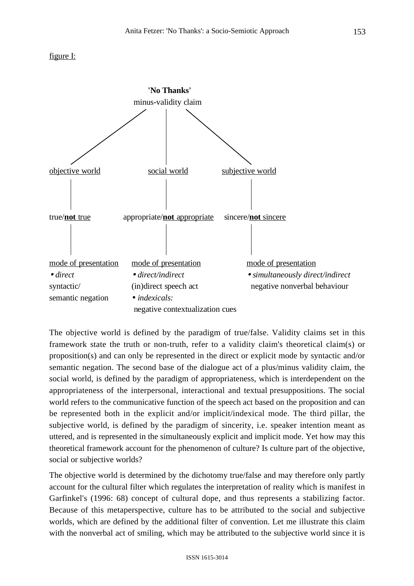#### figure I:



The objective world is defined by the paradigm of true/false. Validity claims set in this framework state the truth or non-truth, refer to a validity claim's theoretical claim(s) or proposition(s) and can only be represented in the direct or explicit mode by syntactic and/or semantic negation. The second base of the dialogue act of a plus/minus validity claim, the social world, is defined by the paradigm of appropriateness, which is interdependent on the appropriateness of the interpersonal, interactional and textual presuppositions. The social world refers to the communicative function of the speech act based on the proposition and can be represented both in the explicit and/or implicit/indexical mode. The third pillar, the subjective world, is defined by the paradigm of sincerity, i.e. speaker intention meant as uttered, and is represented in the simultaneously explicit and implicit mode. Yet how may this theoretical framework account for the phenomenon of culture? Is culture part of the objective, social or subjective worlds?

The objective world is determined by the dichotomy true/false and may therefore only partly account for the cultural filter which regulates the interpretation of reality which is manifest in Garfinkel's (1996: 68) concept of cultural dope, and thus represents a stabilizing factor. Because of this metaperspective, culture has to be attributed to the social and subjective worlds, which are defined by the additional filter of convention. Let me illustrate this claim with the nonverbal act of smiling, which may be attributed to the subjective world since it is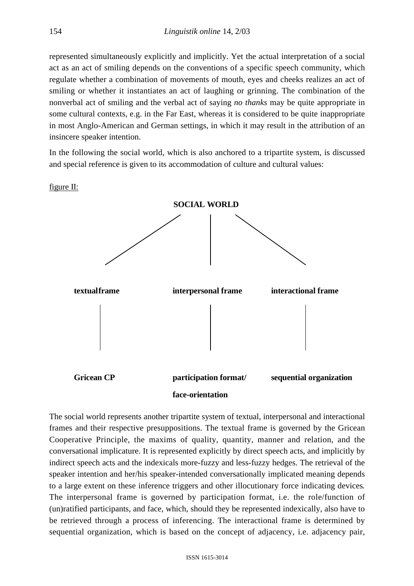represented simultaneously explicitly and implicitly. Yet the actual interpretation of a social act as an act of smiling depends on the conventions of a specific speech community, which regulate whether a combination of movements of mouth, eyes and cheeks realizes an act of smiling or whether it instantiates an act of laughing or grinning. The combination of the nonverbal act of smiling and the verbal act of saying *no thanks* may be quite appropriate in some cultural contexts, e.g. in the Far East, whereas it is considered to be quite inappropriate in most Anglo-American and German settings, in which it may result in the attribution of an insincere speaker intention.

In the following the social world, which is also anchored to a tripartite system, is discussed and special reference is given to its accommodation of culture and cultural values:

figure  $II$ :



The social world represents another tripartite system of textual, interpersonal and interactional frames and their respective presuppositions. The textual frame is governed by the Gricean Cooperative Principle, the maxims of quality, quantity, manner and relation, and the conversational implicature. It is represented explicitly by direct speech acts, and implicitly by indirect speech acts and the indexicals more-fuzzy and less-fuzzy hedges. The retrieval of the speaker intention and her/his speaker-intended conversationally implicated meaning depends to a large extent on these inference triggers and other illocutionary force indicating devices*.* The interpersonal frame is governed by participation format, i.e. the role/function of (un)ratified participants, and face, which, should they be represented indexically, also have to be retrieved through a process of inferencing. The interactional frame is determined by sequential organization, which is based on the concept of adjacency, i.e. adjacency pair,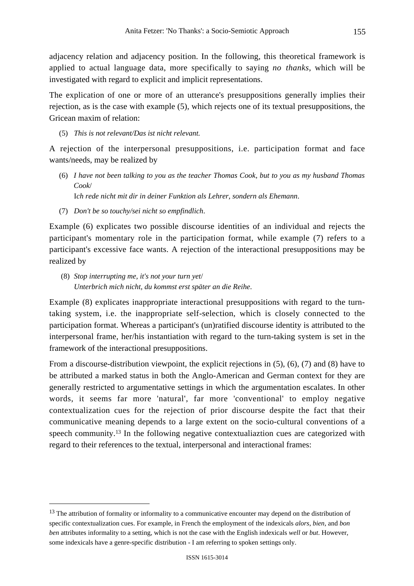adjacency relation and adjacency position. In the following, this theoretical framework is applied to actual language data, more specifically to saying *no thanks*, which will be investigated with regard to explicit and implicit representations.

The explication of one or more of an utterance's presuppositions generally implies their rejection, as is the case with example (5), which rejects one of its textual presuppositions, the Gricean maxim of relation:

(5) *This is not relevant/Das ist nicht relevant.*

A rejection of the interpersonal presuppositions, i.e. participation format and face wants/needs, may be realized by

(6) *I have not been talking to you as the teacher Thomas Cook, but to you as my husband Thomas Cook*/

I*ch rede nicht mit dir in deiner Funktion als Lehrer, sondern als Ehemann*.

(7) *Don't be so touchy/sei nicht so empfindlich*.

Example (6) explicates two possible discourse identities of an individual and rejects the participant's momentary role in the participation format, while example (7) refers to a participant's excessive face wants. A rejection of the interactional presuppositions may be realized by

 (8) *Stop interrupting me, it's not your turn yet*/ *Unterbrich mich nicht, du kommst erst später an die Reihe*.

Example (8) explicates inappropriate interactional presuppositions with regard to the turntaking system, i.e. the inappropriate self-selection, which is closely connected to the participation format. Whereas a participant's (un)ratified discourse identity is attributed to the interpersonal frame, her/his instantiation with regard to the turn-taking system is set in the framework of the interactional presuppositions.

From a discourse-distribution viewpoint, the explicit rejections in (5), (6), (7) and (8) have to be attributed a marked status in both the Anglo-American and German context for they are generally restricted to argumentative settings in which the argumentation escalates. In other words, it seems far more 'natural', far more 'conventional' to employ negative contextualization cues for the rejection of prior discourse despite the fact that their communicative meaning depends to a large extent on the socio-cultural conventions of a speech community.13 In the following negative contextualiaztion cues are categorized with regard to their references to the textual, interpersonal and interactional frames:

<sup>&</sup>lt;sup>13</sup> The attribution of formality or informality to a communicative encounter may depend on the distribution of specific contextualization cues. For example, in French the employment of the indexicals *alors*, *bien*, and *bon ben* attributes informality to a setting, which is not the case with the English indexicals *well* or *but*. However, some indexicals have a genre-specific distribution - I am referring to spoken settings only.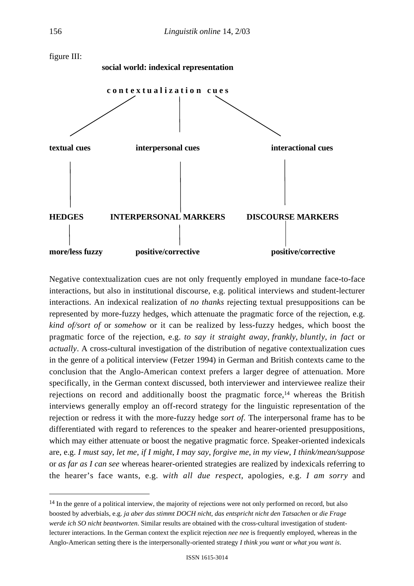

Negative contextualization cues are not only frequently employed in mundane face-to-face interactions, but also in institutional discourse, e.g. political interviews and student-lecturer interactions. An indexical realization of *no thanks* rejecting textual presuppositions can be represented by more-fuzzy hedges, which attenuate the pragmatic force of the rejection, e.g. *kind of/sort of* or *somehow* or it can be realized by less-fuzzy hedges, which boost the pragmatic force of the rejection, e.g. *to say it straight away*, *frankly*, *bluntly*, *in fact* or *actually*. A cross-cultural investigation of the distribution of negative contextualization cues in the genre of a political interview (Fetzer 1994) in German and British contexts came to the conclusion that the Anglo-American context prefers a larger degree of attenuation. More specifically, in the German context discussed, both interviewer and interviewee realize their rejections on record and additionally boost the pragmatic force,<sup>14</sup> whereas the British interviews generally employ an off-record strategy for the linguistic representation of the rejection or redress it with the more-fuzzy hedge *sort of*. The interpersonal frame has to be differentiated with regard to references to the speaker and hearer-oriented presuppositions, which may either attenuate or boost the negative pragmatic force. Speaker-oriented indexicals are, e.g. *I must say*, *let me*, *if I might*, *I may say*, *forgive me*, *in my view*, *I think/mean/suppose* or *as far as I can see* whereas hearer-oriented strategies are realized by indexicals referring to the hearer's face wants, e.g. *with all due respect*, apologies, e.g. *I am sorry* and

<sup>&</sup>lt;sup>14</sup> In the genre of a political interview, the majority of rejections were not only performed on record, but also boosted by adverbials, e.g. *ja aber das stimmt DOCH nicht*, *das entspricht nicht den Tatsachen* or *die Frage werde ich SO nicht beantworten*. Similar results are obtained with the cross-cultural investigation of studentlecturer interactions. In the German context the explicit rejection *nee nee* is frequently employed, whereas in the Anglo-American setting there is the interpersonally-oriented strategy *I think you want* or *what you want is*.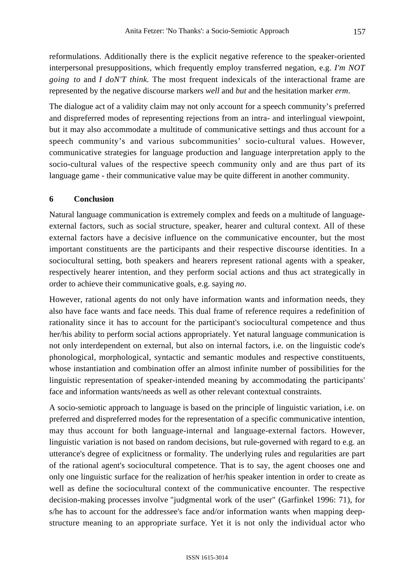reformulations. Additionally there is the explicit negative reference to the speaker-oriented interpersonal presuppositions, which frequently employ transferred negation, e.g. *I'm NOT going to* and *I doN'T think*. The most frequent indexicals of the interactional frame are represented by the negative discourse markers *well* and *but* and the hesitation marker *erm*.

The dialogue act of a validity claim may not only account for a speech community's preferred and dispreferred modes of representing rejections from an intra- and interlingual viewpoint, but it may also accommodate a multitude of communicative settings and thus account for a speech community's and various subcommunities' socio-cultural values. However, communicative strategies for language production and language interpretation apply to the socio-cultural values of the respective speech community only and are thus part of its language game - their communicative value may be quite different in another community.

# **6 Conclusion**

Natural language communication is extremely complex and feeds on a multitude of languageexternal factors, such as social structure, speaker, hearer and cultural context. All of these external factors have a decisive influence on the communicative encounter, but the most important constituents are the participants and their respective discourse identities. In a sociocultural setting, both speakers and hearers represent rational agents with a speaker, respectively hearer intention, and they perform social actions and thus act strategically in order to achieve their communicative goals, e.g. saying *no*.

However, rational agents do not only have information wants and information needs, they also have face wants and face needs. This dual frame of reference requires a redefinition of rationality since it has to account for the participant's sociocultural competence and thus her/his ability to perform social actions appropriately. Yet natural language communication is not only interdependent on external, but also on internal factors, i.e. on the linguistic code's phonological, morphological, syntactic and semantic modules and respective constituents, whose instantiation and combination offer an almost infinite number of possibilities for the linguistic representation of speaker-intended meaning by accommodating the participants' face and information wants/needs as well as other relevant contextual constraints.

A socio-semiotic approach to language is based on the principle of linguistic variation, i.e. on preferred and dispreferred modes for the representation of a specific communicative intention, may thus account for both language-internal and language-external factors. However, linguistic variation is not based on random decisions, but rule-governed with regard to e.g. an utterance's degree of explicitness or formality. The underlying rules and regularities are part of the rational agent's sociocultural competence. That is to say, the agent chooses one and only one linguistic surface for the realization of her/his speaker intention in order to create as well as define the sociocultural context of the communicative encounter. The respective decision-making processes involve "judgmental work of the user" (Garfinkel 1996: 71), for s/he has to account for the addressee's face and/or information wants when mapping deepstructure meaning to an appropriate surface. Yet it is not only the individual actor who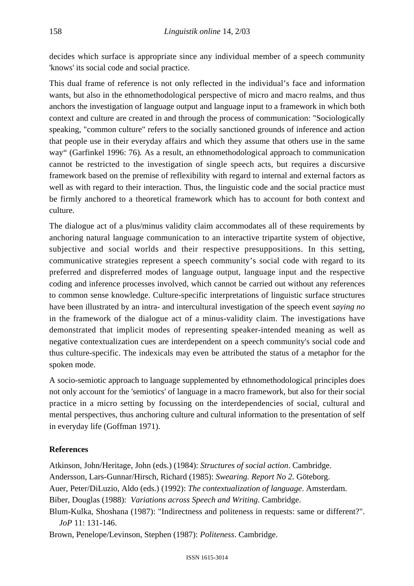decides which surface is appropriate since any individual member of a speech community 'knows' its social code and social practice.

This dual frame of reference is not only reflected in the individual's face and information wants, but also in the ethnomethodological perspective of micro and macro realms, and thus anchors the investigation of language output and language input to a framework in which both context and culture are created in and through the process of communication: "Sociologically speaking, "common culture" refers to the socially sanctioned grounds of inference and action that people use in their everyday affairs and which they assume that others use in the same way" (Garfinkel 1996: 76)*.* As a result, an ethnomethodological approach to communication cannot be restricted to the investigation of single speech acts, but requires a discursive framework based on the premise of reflexibility with regard to internal and external factors as well as with regard to their interaction. Thus, the linguistic code and the social practice must be firmly anchored to a theoretical framework which has to account for both context and culture.

The dialogue act of a plus/minus validity claim accommodates all of these requirements by anchoring natural language communication to an interactive tripartite system of objective, subjective and social worlds and their respective presuppositions. In this setting, communicative strategies represent a speech community's social code with regard to its preferred and dispreferred modes of language output, language input and the respective coding and inference processes involved, which cannot be carried out without any references to common sense knowledge. Culture-specific interpretations of linguistic surface structures have been illustrated by an intra- and intercultural investigation of the speech event *saying no* in the framework of the dialogue act of a minus-validity claim. The investigations have demonstrated that implicit modes of representing speaker-intended meaning as well as negative contextualization cues are interdependent on a speech community's social code and thus culture-specific. The indexicals may even be attributed the status of a metaphor for the spoken mode.

A socio-semiotic approach to language supplemented by ethnomethodological principles does not only account for the 'semiotics' of language in a macro framework, but also for their social practice in a micro setting by focussing on the interdependencies of social, cultural and mental perspectives, thus anchoring culture and cultural information to the presentation of self in everyday life (Goffman 1971).

# **References**

Atkinson, John/Heritage, John (eds.) (1984): *Structures of social action*. Cambridge.

Andersson, Lars-Gunnar/Hirsch, Richard (1985): *Swearing. Report No 2.* Göteborg.

Auer, Peter/DiLuzio, Aldo (eds.) (1992): *The contextualization of language*. Amsterdam.

Biber, Douglas (1988): *Variations across Speech and Writing*. Cambridge.

Blum-Kulka, Shoshana (1987): "Indirectness and politeness in requests: same or different?". *JoP* 11: 131*-*146.

Brown, Penelope/Levinson, Stephen (1987): *Politeness*. Cambridge.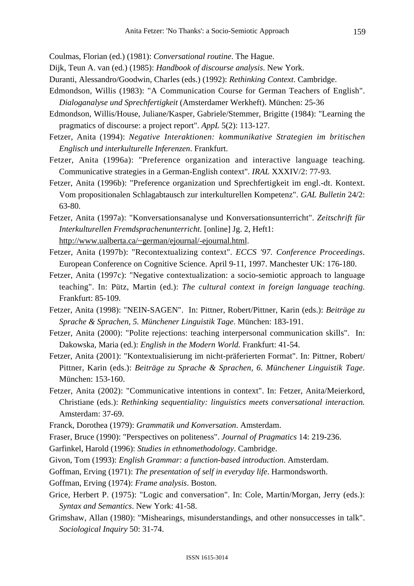Coulmas, Florian (ed.) (1981): *Conversational routine*. The Hague.

- Dijk, Teun A. van (ed.) (1985): *Handbook of discourse analysis*. New York.
- Duranti, Alessandro/Goodwin, Charles (eds.) (1992): *Rethinking Context*. Cambridge.
- Edmondson, Willis (1983): "A Communication Course for German Teachers of English". *Dialoganalyse und Sprechfertigkeit* (Amsterdamer Werkheft). München: 25-36
- Edmondson, Willis/House, Juliane/Kasper, Gabriele/Stemmer, Brigitte (1984): "Learning the pragmatics of discourse: a project report". *AppL* 5(2): 113-127.
- Fetzer, Anita (1994): *Negative Interaktionen: kommunikative Strategien im britischen Englisch und interkulturelle Inferenzen*. Frankfurt.
- Fetzer, Anita (1996a): "Preference organization and interactive language teaching. Communicative strategies in a German-English context". *IRAL* XXXIV/2: 77-93.
- Fetzer, Anita (1996b): "Preference organization und Sprechfertigkeit im engl.-dt. Kontext. Vom propositionalen Schlagabtausch zur interkulturellen Kompetenz". *GAL Bulletin* 24/2: 63-80.
- Fetzer, Anita (1997a): "Konversationsanalyse und Konversationsunterricht". *Zeitschrift für Interkulturellen Fremdsprachenunterricht.* [online] Jg. 2, Heft1: http://www.ualberta.ca/~german/ejournal/-ejournal.html.
- Fetzer, Anita (1997b): "Recontextualizing context". *ECCS '97. Conference Proceedings*. European Conference on Cognitive Science. April 9-11, 1997. Manchester UK: 176-180.
- Fetzer, Anita (1997c): "Negative contextualization: a socio-semiotic approach to language teaching". In: Pütz, Martin (ed.): *The cultural context in foreign language teaching*. Frankfurt: 85-109.
- Fetzer, Anita (1998): "NEIN-SAGEN". In: Pittner, Robert/Pittner, Karin (eds.): *Beiträge zu Sprache & Sprachen, 5. Münchener Linguistik Tage*. München: 183-191.
- Fetzer, Anita (2000): "Polite rejections: teaching interpersonal communication skills". In: Dakowska, Maria (ed.): *English in the Modern World.* Frankfurt: 41-54.
- Fetzer, Anita (2001): "Kontextualisierung im nicht-präferierten Format". In: Pittner, Robert/ Pittner, Karin (eds.): *Beiträge zu Sprache & Sprachen, 6. Münchener Linguistik Tage*. München: 153-160.
- Fetzer, Anita (2002): "Communicative intentions in context". In: Fetzer, Anita/Meierkord, Christiane (eds.): *Rethinking sequentiality: linguistics meets conversational interaction.* Amsterdam: 37-69.
- Franck, Dorothea (1979): *Grammatik und Konversation*. Amsterdam.
- Fraser, Bruce (1990): "Perspectives on politeness". *Journal of Pragmatics* 14: 219-236.
- Garfinkel, Harold (1996): *Studies in ethnomethodology*. Cambridge.
- Givon, Tom (1993): *English Grammar: a function-based introduction*. Amsterdam.
- Goffman, Erving (1971): *The presentation of self in everyday life*. Harmondsworth.
- Goffman, Erving (1974): *Frame analysis*. Boston.
- Grice, Herbert P. (1975): "Logic and conversation". In: Cole, Martin/Morgan, Jerry (eds.): *Syntax and Semantics*. New York: 41-58.
- Grimshaw, Allan (1980): "Mishearings, misunderstandings, and other nonsuccesses in talk". *Sociological Inquiry* 50: 31-74.